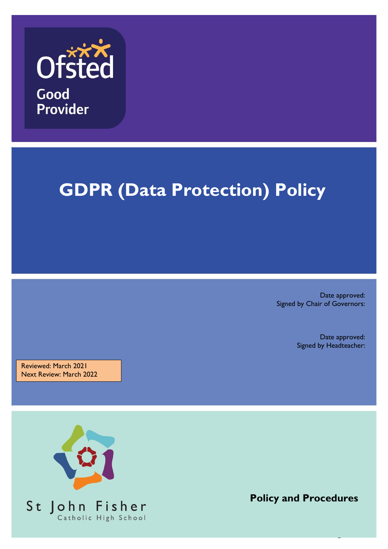

# **GDPR (Data Protection) Policy**

Date approved: Signed by Chair of Governors:

> Date approved: Signed by Headteacher:

Reviewed: March 2021 Next Review: March 2022



**Policy and Procedures**

1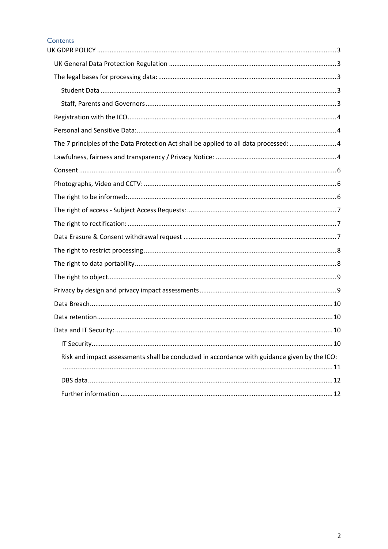#### Contents

| The 7 principles of the Data Protection Act shall be applied to all data processed: 4        |  |
|----------------------------------------------------------------------------------------------|--|
|                                                                                              |  |
|                                                                                              |  |
|                                                                                              |  |
|                                                                                              |  |
|                                                                                              |  |
|                                                                                              |  |
|                                                                                              |  |
|                                                                                              |  |
|                                                                                              |  |
|                                                                                              |  |
|                                                                                              |  |
|                                                                                              |  |
|                                                                                              |  |
|                                                                                              |  |
|                                                                                              |  |
| Risk and impact assessments shall be conducted in accordance with guidance given by the ICO: |  |
|                                                                                              |  |
|                                                                                              |  |
|                                                                                              |  |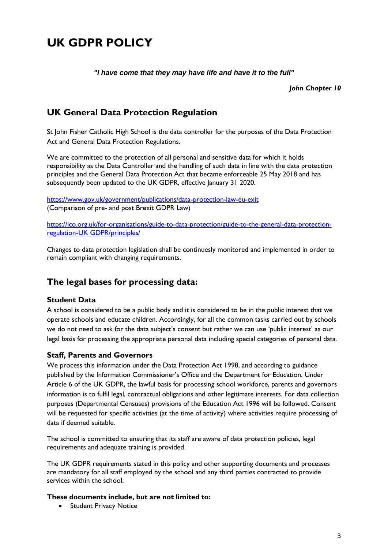## <span id="page-2-0"></span>**UK GDPR POLICY**

*"I have come that they may have life and have it to the full"*

*John Chapter 10*

## <span id="page-2-1"></span>**UK General Data Protection Regulation**

St John Fisher Catholic High School is the data controller for the purposes of the Data Protection Act and General Data Protection Regulations.

We are committed to the protection of all personal and sensitive data for which it holds responsibility as the Data Controller and the handling of such data in line with the data protection principles and the General Data Protection Act that became enforceable 25 May 2018 and has subsequently been updated to the UK GDPR, effective January 31 2020.

<https://www.gov.uk/government/publications/data-protection-law-eu-exit> (Comparison of pre- and post Brexit GDPR Law)

[https://ico.org.uk/for-organisations/guide-to-data-protection/guide-to-the-general-data-protection](https://ico.org.uk/for-organisations/guide-to-data-protection/guide-to-the-general-data-protection-regulation-gdpr/principles/)[regulation-UK GDPR/principles/](https://ico.org.uk/for-organisations/guide-to-data-protection/guide-to-the-general-data-protection-regulation-gdpr/principles/)

Changes to data protection legislation shall be continuesly monitored and implemented in order to remain compliant with changing requirements.

#### <span id="page-2-2"></span>**The legal bases for processing data:**

#### <span id="page-2-3"></span>**Student Data**

A school is considered to be a public body and it is considered to be in the public interest that we operate schools and educate children. Accordingly, for all the common tasks carried out by schools we do not need to ask for the data subject's consent but rather we can use 'public interest' as our legal basis for processing the appropriate personal data including special categories of personal data.

#### <span id="page-2-4"></span>**Staff, Parents and Governors**

We process this information under the Data Protection Act 1998, and according to guidance published by the Information Commissioner's Office and the Department for Education. Under Article 6 of the UK GDPR, the lawful basis for processing school workforce, parents and governors information is to fulfil legal, contractual obligations and other legitimate interests. For data collection purposes (Departmental Censuses) provisions of the Education Act 1996 will be followed. Consent will be requested for specific activities (at the time of activity) where activities require processing of data if deemed suitable.

The school is committed to ensuring that its staff are aware of data protection policies, legal requirements and adequate training is provided.

The UK GDPR requirements stated in this policy and other supporting documents and processes are mandatory for all staff employed by the school and any third parties contracted to provide services within the school.

#### **These documents include, but are not limited to:**

• Student Privacy Notice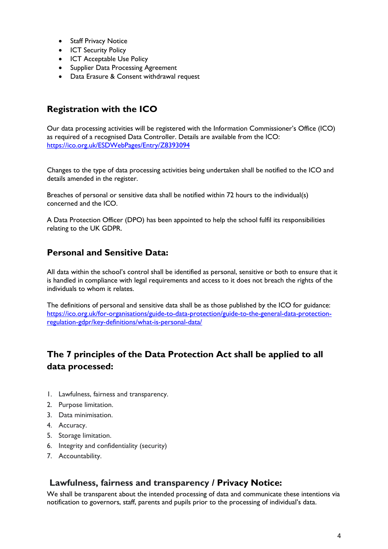- Staff Privacy Notice
- ICT Security Policy
- ICT Acceptable Use Policy
- Supplier Data Processing Agreement
- Data Erasure & Consent withdrawal request

## <span id="page-3-0"></span>**Registration with the ICO**

Our data processing activities will be registered with the Information Commissioner's Office (ICO) as required of a recognised Data Controller. Details are available from the ICO: <https://ico.org.uk/ESDWebPages/Entry/Z8393094>

Changes to the type of data processing activities being undertaken shall be notified to the ICO and details amended in the register.

Breaches of personal or sensitive data shall be notified within 72 hours to the individual(s) concerned and the ICO.

A Data Protection Officer (DPO) has been appointed to help the school fulfil its responsibilities relating to the UK GDPR.

## <span id="page-3-1"></span>**Personal and Sensitive Data:**

All data within the school's control shall be identified as personal, sensitive or both to ensure that it is handled in compliance with legal requirements and access to it does not breach the rights of the individuals to whom it relates.

The definitions of personal and sensitive data shall be as those published by the ICO for guidance: [https://ico.org.uk/for-organisations/guide-to-data-protection/guide-to-the-general-data-protection](https://ico.org.uk/for-organisations/guide-to-data-protection/guide-to-the-general-data-protection-regulation-gdpr/key-definitions/what-is-personal-data/)[regulation-gdpr/key-definitions/what-is-personal-data/](https://ico.org.uk/for-organisations/guide-to-data-protection/guide-to-the-general-data-protection-regulation-gdpr/key-definitions/what-is-personal-data/)

## <span id="page-3-2"></span>**The 7 principles of the Data Protection Act shall be applied to all data processed:**

- 1. Lawfulness, fairness and transparency.
- 2. Purpose limitation.
- 3. Data minimisation.
- 4. Accuracy.
- 5. Storage limitation.
- 6. Integrity and confidentiality (security)
- 7. Accountability.

#### <span id="page-3-3"></span>**Lawfulness, fairness and transparency / Privacy Notice:**

We shall be transparent about the intended processing of data and communicate these intentions via notification to governors, staff, parents and pupils prior to the processing of individual's data.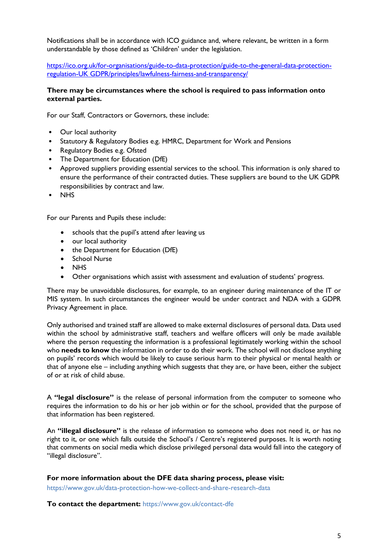Notifications shall be in accordance with ICO guidance and, where relevant, be written in a form understandable by those defined as 'Children' under the legislation.

[https://ico.org.uk/for-organisations/guide-to-data-protection/guide-to-the-general-data-protection](https://ico.org.uk/for-organisations/guide-to-data-protection/guide-to-the-general-data-protection-regulation-gdpr/principles/lawfulness-fairness-and-transparency/)[regulation-UK GDPR/principles/lawfulness-fairness-and-transparency/](https://ico.org.uk/for-organisations/guide-to-data-protection/guide-to-the-general-data-protection-regulation-gdpr/principles/lawfulness-fairness-and-transparency/)

#### **There may be circumstances where the school is required to pass information onto external parties.**

For our Staff, Contractors or Governors, these include:

- Our local authority
- Statutory & Regulatory Bodies e.g. HMRC, Department for Work and Pensions
- Regulatory Bodies e.g. Ofsted
- The Department for Education (DfE)
- Approved suppliers providing essential services to the school. This information is only shared to ensure the performance of their contracted duties. These suppliers are bound to the UK GDPR responsibilities by contract and law.
- NHS

For our Parents and Pupils these include:

- schools that the pupil's attend after leaving us
- our local authority
- the Department for Education (DfE)
- School Nurse
- **NHS**
- Other organisations which assist with assessment and evaluation of students' progress.

There may be unavoidable disclosures, for example, to an engineer during maintenance of the IT or MIS system. In such circumstances the engineer would be under contract and NDA with a GDPR Privacy Agreement in place.

Only authorised and trained staff are allowed to make external disclosures of personal data. Data used within the school by administrative staff, teachers and welfare officers will only be made available where the person requesting the information is a professional legitimately working within the school who **needs to know** the information in order to do their work. The school will not disclose anything on pupils' records which would be likely to cause serious harm to their physical or mental health or that of anyone else – including anything which suggests that they are, or have been, either the subject of or at risk of child abuse.

A **"legal disclosure"** is the release of personal information from the computer to someone who requires the information to do his or her job within or for the school, provided that the purpose of that information has been registered.

An **"illegal disclosure"** is the release of information to someone who does not need it, or has no right to it, or one which falls outside the School's / Centre's registered purposes. It is worth noting that comments on social media which disclose privileged personal data would fall into the category of "illegal disclosure".

**For more information about the DFE data sharing process, please visit:**

https://www.gov.uk/data-protection-how-we-collect-and-share-research-data

**To contact the department:** https://www.gov.uk/contact-dfe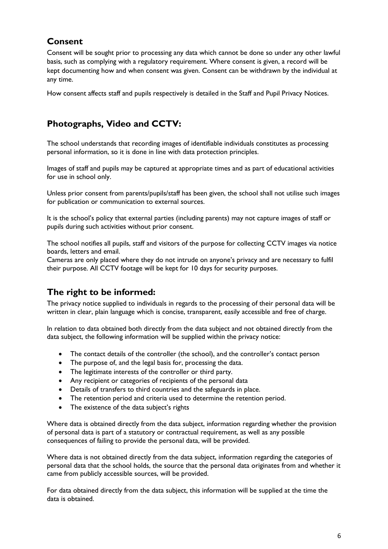## <span id="page-5-0"></span>**Consent**

Consent will be sought prior to processing any data which cannot be done so under any other lawful basis, such as complying with a regulatory requirement. Where consent is given, a record will be kept documenting how and when consent was given. Consent can be withdrawn by the individual at any time.

How consent affects staff and pupils respectively is detailed in the Staff and Pupil Privacy Notices.

## <span id="page-5-1"></span>**Photographs, Video and CCTV:**

The school understands that recording images of identifiable individuals constitutes as processing personal information, so it is done in line with data protection principles.

Images of staff and pupils may be captured at appropriate times and as part of educational activities for use in school only.

Unless prior consent from parents/pupils/staff has been given, the school shall not utilise such images for publication or communication to external sources.

It is the school's policy that external parties (including parents) may not capture images of staff or pupils during such activities without prior consent.

The school notifies all pupils, staff and visitors of the purpose for collecting CCTV images via notice boards, letters and email.

Cameras are only placed where they do not intrude on anyone's privacy and are necessary to fulfil their purpose. All CCTV footage will be kept for 10 days for security purposes.

## <span id="page-5-2"></span>**The right to be informed:**

The privacy notice supplied to individuals in regards to the processing of their personal data will be written in clear, plain language which is concise, transparent, easily accessible and free of charge.

In relation to data obtained both directly from the data subject and not obtained directly from the data subject, the following information will be supplied within the privacy notice:

- The contact details of the controller (the school), and the controller's contact person
- The purpose of, and the legal basis for, processing the data.
- The legitimate interests of the controller or third party.
- Any recipient or categories of recipients of the personal data
- Details of transfers to third countries and the safeguards in place.
- The retention period and criteria used to determine the retention period.
- The existence of the data subject's rights

Where data is obtained directly from the data subject, information regarding whether the provision of personal data is part of a statutory or contractual requirement, as well as any possible consequences of failing to provide the personal data, will be provided.

Where data is not obtained directly from the data subject, information regarding the categories of personal data that the school holds, the source that the personal data originates from and whether it came from publicly accessible sources, will be provided.

For data obtained directly from the data subject, this information will be supplied at the time the data is obtained.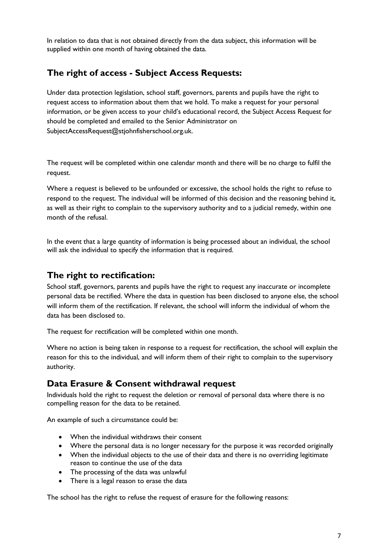In relation to data that is not obtained directly from the data subject, this information will be supplied within one month of having obtained the data.

#### <span id="page-6-0"></span>**The right of access - Subject Access Requests:**

Under data protection legislation, school staff, governors, parents and pupils have the right to request access to information about them that we hold. To make a request for your personal information, or be given access to your child's educational record, the Subject Access Request for should be completed and emailed to the Senior Administrator on SubjectAccessRequest@stjohnfisherschool.org.uk.

The request will be completed within one calendar month and there will be no charge to fulfil the request.

Where a request is believed to be unfounded or excessive, the school holds the right to refuse to respond to the request. The individual will be informed of this decision and the reasoning behind it, as well as their right to complain to the supervisory authority and to a judicial remedy, within one month of the refusal.

In the event that a large quantity of information is being processed about an individual, the school will ask the individual to specify the information that is required.

#### <span id="page-6-1"></span>**The right to rectification:**

School staff, governors, parents and pupils have the right to request any inaccurate or incomplete personal data be rectified. Where the data in question has been disclosed to anyone else, the school will inform them of the rectification. If relevant, the school will inform the individual of whom the data has been disclosed to.

The request for rectification will be completed within one month.

Where no action is being taken in response to a request for rectification, the school will explain the reason for this to the individual, and will inform them of their right to complain to the supervisory authority.

#### <span id="page-6-2"></span>**Data Erasure & Consent withdrawal request**

Individuals hold the right to request the deletion or removal of personal data where there is no compelling reason for the data to be retained.

An example of such a circumstance could be:

- When the individual withdraws their consent
- Where the personal data is no longer necessary for the purpose it was recorded originally
- When the individual objects to the use of their data and there is no overriding legitimate reason to continue the use of the data
- The processing of the data was unlawful
- There is a legal reason to erase the data

The school has the right to refuse the request of erasure for the following reasons: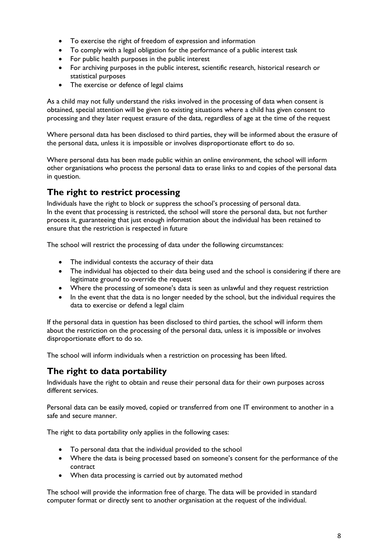- To exercise the right of freedom of expression and information
- To comply with a legal obligation for the performance of a public interest task
- For public health purposes in the public interest
- For archiving purposes in the public interest, scientific research, historical research or statistical purposes
- The exercise or defence of legal claims

As a child may not fully understand the risks involved in the processing of data when consent is obtained, special attention will be given to existing situations where a child has given consent to processing and they later request erasure of the data, regardless of age at the time of the request

Where personal data has been disclosed to third parties, they will be informed about the erasure of the personal data, unless it is impossible or involves disproportionate effort to do so.

Where personal data has been made public within an online environment, the school will inform other organisations who process the personal data to erase links to and copies of the personal data in question.

#### <span id="page-7-0"></span>**The right to restrict processing**

Individuals have the right to block or suppress the school's processing of personal data. In the event that processing is restricted, the school will store the personal data, but not further process it, guaranteeing that just enough information about the individual has been retained to ensure that the restriction is respected in future

The school will restrict the processing of data under the following circumstances:

- The individual contests the accuracy of their data
- The individual has objected to their data being used and the school is considering if there are legitimate ground to override the request
- Where the processing of someone's data is seen as unlawful and they request restriction
- In the event that the data is no longer needed by the school, but the individual requires the data to exercise or defend a legal claim

If the personal data in question has been disclosed to third parties, the school will inform them about the restriction on the processing of the personal data, unless it is impossible or involves disproportionate effort to do so.

The school will inform individuals when a restriction on processing has been lifted.

#### <span id="page-7-1"></span>**The right to data portability**

Individuals have the right to obtain and reuse their personal data for their own purposes across different services.

Personal data can be easily moved, copied or transferred from one IT environment to another in a safe and secure manner.

The right to data portability only applies in the following cases:

- To personal data that the individual provided to the school
- Where the data is being processed based on someone's consent for the performance of the contract
- When data processing is carried out by automated method

The school will provide the information free of charge. The data will be provided in standard computer format or directly sent to another organisation at the request of the individual.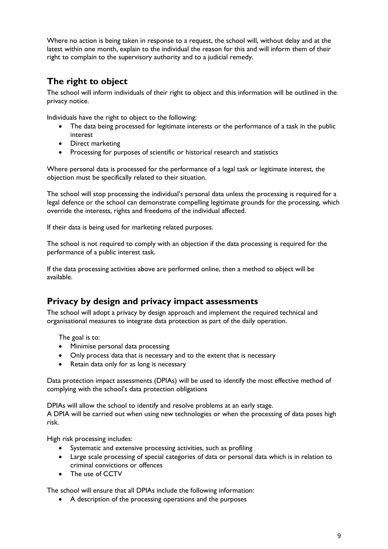Where no action is being taken in response to a request, the school will, without delay and at the latest within one month, explain to the individual the reason for this and will inform them of their right to complain to the supervisory authority and to a judicial remedy.

## <span id="page-8-0"></span>**The right to object**

The school will inform individuals of their right to object and this information will be outlined in the privacy notice.

Individuals have the right to object to the following:

- The data being processed for legitimate interests or the performance of a task in the public interest
- Direct marketing
- Processing for purposes of scientific or historical research and statistics

Where personal data is processed for the performance of a legal task or legitimate interest, the objection must be specifically related to their situation.

The school will stop processing the individual's personal data unless the processing is required for a legal defence or the school can demonstrate compelling legitimate grounds for the processing, which override the interests, rights and freedoms of the individual affected.

If their data is being used for marketing related purposes.

The school is not required to comply with an objection if the data processing is required for the performance of a public interest task.

If the data processing activities above are performed online, then a method to object will be available.

#### <span id="page-8-1"></span>**Privacy by design and privacy impact assessments**

The school will adopt a privacy by design approach and implement the required technical and organisational measures to integrate data protection as part of the daily operation.

The goal is to:

- Minimise personal data processing
- Only process data that is necessary and to the extent that is necessary
- Retain data only for as long is necessary

Data protection impact assessments (DPIAs) will be used to identify the most effective method of complying with the school's data protection obligations

DPIAs will allow the school to identify and resolve problems at an early stage.

A DPIA will be carried out when using new technologies or when the processing of data poses high risk.

High risk processing includes:

- Systematic and extensive processing activities, such as profiling
- Large scale processing of special categories of data or personal data which is in relation to criminal convictions or offences
- The use of CCTV

The school will ensure that all DPIAs include the following information:

A description of the processing operations and the purposes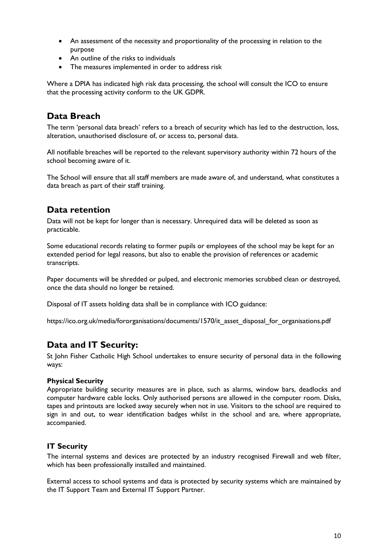- An assessment of the necessity and proportionality of the processing in relation to the purpose
- An outline of the risks to individuals
- The measures implemented in order to address risk

Where a DPIA has indicated high risk data processing, the school will consult the ICO to ensure that the processing activity conform to the UK GDPR.

#### <span id="page-9-0"></span>**Data Breach**

The term 'personal data breach' refers to a breach of security which has led to the destruction, loss, alteration, unauthorised disclosure of, or access to, personal data.

All notifiable breaches will be reported to the relevant supervisory authority within 72 hours of the school becoming aware of it.

The School will ensure that all staff members are made aware of, and understand, what constitutes a data breach as part of their staff training.

#### <span id="page-9-1"></span>**Data retention**

Data will not be kept for longer than is necessary. Unrequired data will be deleted as soon as practicable.

Some educational records relating to former pupils or employees of the school may be kept for an extended period for legal reasons, but also to enable the provision of references or academic transcripts.

Paper documents will be shredded or pulped, and electronic memories scrubbed clean or destroyed, once the data should no longer be retained.

Disposal of IT assets holding data shall be in compliance with ICO guidance:

https://ico.org.uk/media/fororganisations/documents/1570/it\_asset\_disposal\_for\_organisations.pdf

#### <span id="page-9-2"></span>**Data and IT Security:**

St John Fisher Catholic High School undertakes to ensure security of personal data in the following ways:

#### **Physical Security**

Appropriate building security measures are in place, such as alarms, window bars, deadlocks and computer hardware cable locks. Only authorised persons are allowed in the computer room. Disks, tapes and printouts are locked away securely when not in use. Visitors to the school are required to sign in and out, to wear identification badges whilst in the school and are, where appropriate, accompanied.

#### <span id="page-9-3"></span>**IT Security**

The internal systems and devices are protected by an industry recognised Firewall and web filter, which has been professionally installed and maintained.

External access to school systems and data is protected by security systems which are maintained by the IT Support Team and External IT Support Partner.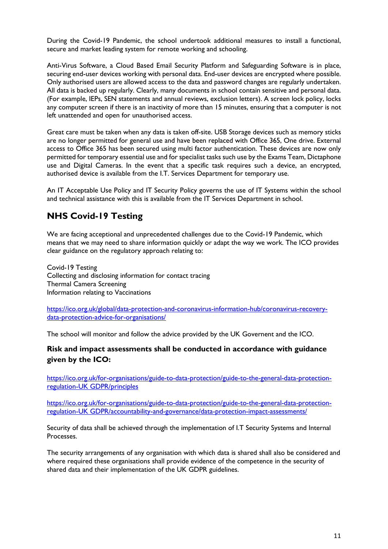During the Covid-19 Pandemic, the school undertook additional measures to install a functional, secure and market leading system for remote working and schooling.

Anti-Virus Software, a Cloud Based Email Security Platform and Safeguarding Software is in place, securing end-user devices working with personal data. End-user devices are encrypted where possible. Only authorised users are allowed access to the data and password changes are regularly undertaken. All data is backed up regularly. Clearly, many documents in school contain sensitive and personal data. (For example, IEPs, SEN statements and annual reviews, exclusion letters). A screen lock policy, locks any computer screen if there is an inactivity of more than 15 minutes, ensuring that a computer is not left unattended and open for unauthorised access.

Great care must be taken when any data is taken off-site. USB Storage devices such as memory sticks are no longer permitted for general use and have been replaced with Office 365, One drive. External access to Office 365 has been secured using multi factor authentication. These devices are now only permitted for temporary essential use and for specialist tasks such use by the Exams Team, Dictaphone use and Digital Cameras. In the event that a specific task requires such a device, an encrypted, authorised device is available from the I.T. Services Department for temporary use.

An IT Acceptable Use Policy and IT Security Policy governs the use of IT Systems within the school and technical assistance with this is available from the IT Services Department in school.

## **NHS Covid-19 Testing**

We are facing acceptional and unprecedented challenges due to the Covid-19 Pandemic, which means that we may need to share information quickly or adapt the way we work. The ICO provides clear guidance on the regulatory approach relating to:

Covid-19 Testing Collecting and disclosing information for contact tracing Thermal Camera Screening Information relating to Vaccinations

[https://ico.org.uk/global/data-protection-and-coronavirus-information-hub/coronavirus-recovery](https://ico.org.uk/global/data-protection-and-coronavirus-information-hub/coronavirus-recovery-data-protection-advice-for-organisations/)[data-protection-advice-for-organisations/](https://ico.org.uk/global/data-protection-and-coronavirus-information-hub/coronavirus-recovery-data-protection-advice-for-organisations/)

The school will monitor and follow the advice provided by the UK Governent and the ICO.

#### <span id="page-10-0"></span>**Risk and impact assessments shall be conducted in accordance with guidance given by the ICO:**

[https://ico.org.uk/for-organisations/guide-to-data-protection/guide-to-the-general-data-protection](https://ico.org.uk/for-organisations/guide-to-data-protection/guide-to-the-general-data-protection-regulation-gdpr/principles)[regulation-UK GDPR/principles](https://ico.org.uk/for-organisations/guide-to-data-protection/guide-to-the-general-data-protection-regulation-gdpr/principles)

[https://ico.org.uk/for-organisations/guide-to-data-protection/guide-to-the-general-data-protection](https://ico.org.uk/for-organisations/guide-to-data-protection/guide-to-the-general-data-protection-regulation-gdpr/accountability-and-governance/data-protection-impact-assessments/)[regulation-UK GDPR/accountability-and-governance/data-protection-impact-assessments/](https://ico.org.uk/for-organisations/guide-to-data-protection/guide-to-the-general-data-protection-regulation-gdpr/accountability-and-governance/data-protection-impact-assessments/)

Security of data shall be achieved through the implementation of I.T Security Systems and Internal **Processes** 

The security arrangements of any organisation with which data is shared shall also be considered and where required these organisations shall provide evidence of the competence in the security of shared data and their implementation of the UK GDPR guidelines.